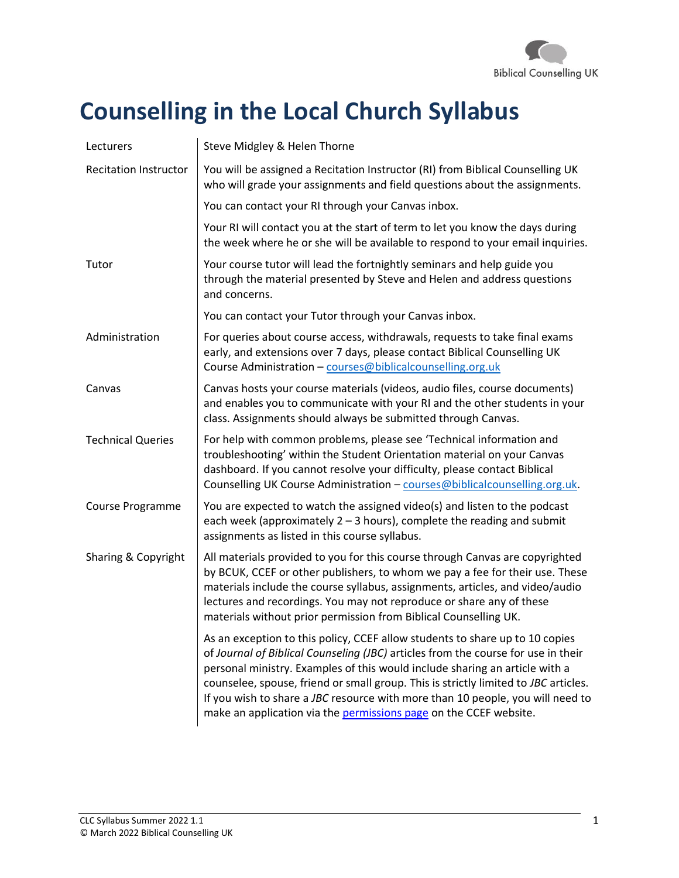

# **Counselling in the Local Church Syllabus**

| Lecturers                    | Steve Midgley & Helen Thorne                                                                                                                                                                                                                                                                                                                                                                                                                                                                   |  |
|------------------------------|------------------------------------------------------------------------------------------------------------------------------------------------------------------------------------------------------------------------------------------------------------------------------------------------------------------------------------------------------------------------------------------------------------------------------------------------------------------------------------------------|--|
| <b>Recitation Instructor</b> | You will be assigned a Recitation Instructor (RI) from Biblical Counselling UK<br>who will grade your assignments and field questions about the assignments.                                                                                                                                                                                                                                                                                                                                   |  |
|                              | You can contact your RI through your Canvas inbox.                                                                                                                                                                                                                                                                                                                                                                                                                                             |  |
|                              | Your RI will contact you at the start of term to let you know the days during<br>the week where he or she will be available to respond to your email inquiries.                                                                                                                                                                                                                                                                                                                                |  |
| Tutor                        | Your course tutor will lead the fortnightly seminars and help guide you<br>through the material presented by Steve and Helen and address questions<br>and concerns.                                                                                                                                                                                                                                                                                                                            |  |
|                              | You can contact your Tutor through your Canvas inbox.                                                                                                                                                                                                                                                                                                                                                                                                                                          |  |
| Administration               | For queries about course access, withdrawals, requests to take final exams<br>early, and extensions over 7 days, please contact Biblical Counselling UK<br>Course Administration - courses@biblicalcounselling.org.uk                                                                                                                                                                                                                                                                          |  |
| Canvas                       | Canvas hosts your course materials (videos, audio files, course documents)<br>and enables you to communicate with your RI and the other students in your<br>class. Assignments should always be submitted through Canvas.                                                                                                                                                                                                                                                                      |  |
| <b>Technical Queries</b>     | For help with common problems, please see 'Technical information and<br>troubleshooting' within the Student Orientation material on your Canvas<br>dashboard. If you cannot resolve your difficulty, please contact Biblical<br>Counselling UK Course Administration - courses@biblicalcounselling.org.uk.                                                                                                                                                                                     |  |
| Course Programme             | You are expected to watch the assigned video(s) and listen to the podcast<br>each week (approximately $2 - 3$ hours), complete the reading and submit<br>assignments as listed in this course syllabus.                                                                                                                                                                                                                                                                                        |  |
| Sharing & Copyright          | All materials provided to you for this course through Canvas are copyrighted<br>by BCUK, CCEF or other publishers, to whom we pay a fee for their use. These<br>materials include the course syllabus, assignments, articles, and video/audio<br>lectures and recordings. You may not reproduce or share any of these<br>materials without prior permission from Biblical Counselling UK.                                                                                                      |  |
|                              | As an exception to this policy, CCEF allow students to share up to 10 copies<br>of Journal of Biblical Counseling (JBC) articles from the course for use in their<br>personal ministry. Examples of this would include sharing an article with a<br>counselee, spouse, friend or small group. This is strictly limited to JBC articles.<br>If you wish to share a JBC resource with more than 10 people, you will need to<br>make an application via the permissions page on the CCEF website. |  |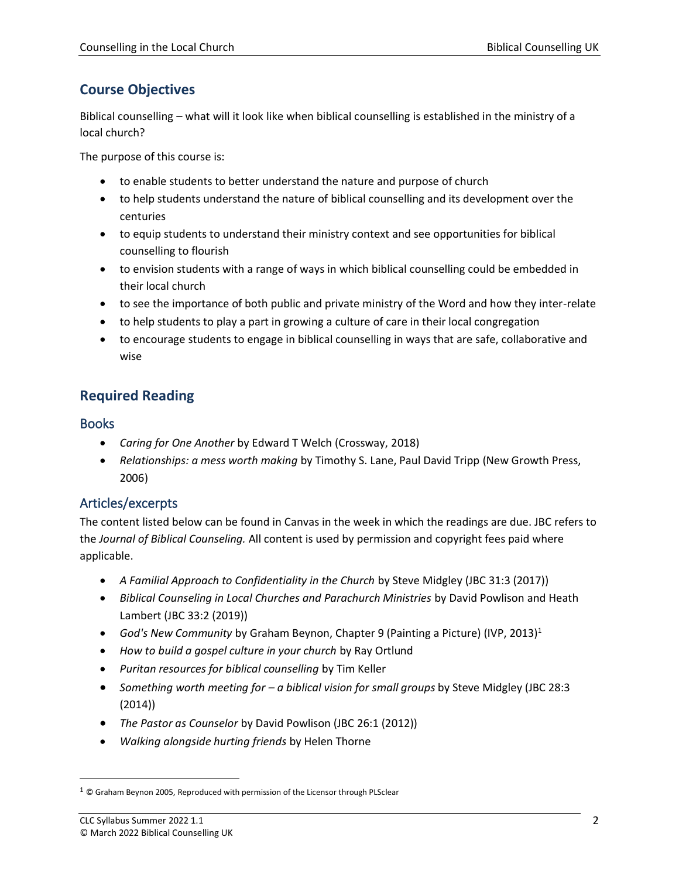## **Course Objectives**

Biblical counselling – what will it look like when biblical counselling is established in the ministry of a local church?

The purpose of this course is:

- to enable students to better understand the nature and purpose of church
- to help students understand the nature of biblical counselling and its development over the centuries
- to equip students to understand their ministry context and see opportunities for biblical counselling to flourish
- to envision students with a range of ways in which biblical counselling could be embedded in their local church
- to see the importance of both public and private ministry of the Word and how they inter-relate
- to help students to play a part in growing a culture of care in their local congregation
- to encourage students to engage in biblical counselling in ways that are safe, collaborative and wise

### **Required Reading**

#### **Books**

- *Caring for One Another* by Edward T Welch (Crossway, 2018)
- *Relationships: a mess worth making* by Timothy S. Lane, Paul David Tripp (New Growth Press, 2006)

#### Articles/excerpts

The content listed below can be found in Canvas in the week in which the readings are due. JBC refers to the *Journal of Biblical Counseling.* All content is used by permission and copyright fees paid where applicable.

- *A Familial Approach to Confidentiality in the Church* by Steve Midgley (JBC 31:3 (2017))
- *Biblical Counseling in Local Churches and Parachurch Ministries* by David Powlison and Heath Lambert (JBC 33:2 (2019))
- *God's New Community* by Graham Beynon, Chapter 9 (Painting a Picture) (IVP, 2013)<sup>1</sup>
- *How to build a gospel culture in your church* by Ray Ortlund
- *Puritan resources for biblical counselling* by Tim Keller
- *Something worth meeting for – a biblical vision for small groups* by Steve Midgley (JBC 28:3 (2014))
- *The Pastor as Counselor* by David Powlison (JBC 26:1 (2012))
- *Walking alongside hurting friends* by Helen Thorne

 $1$  © Graham Beynon 2005, Reproduced with permission of the Licensor through PLSclear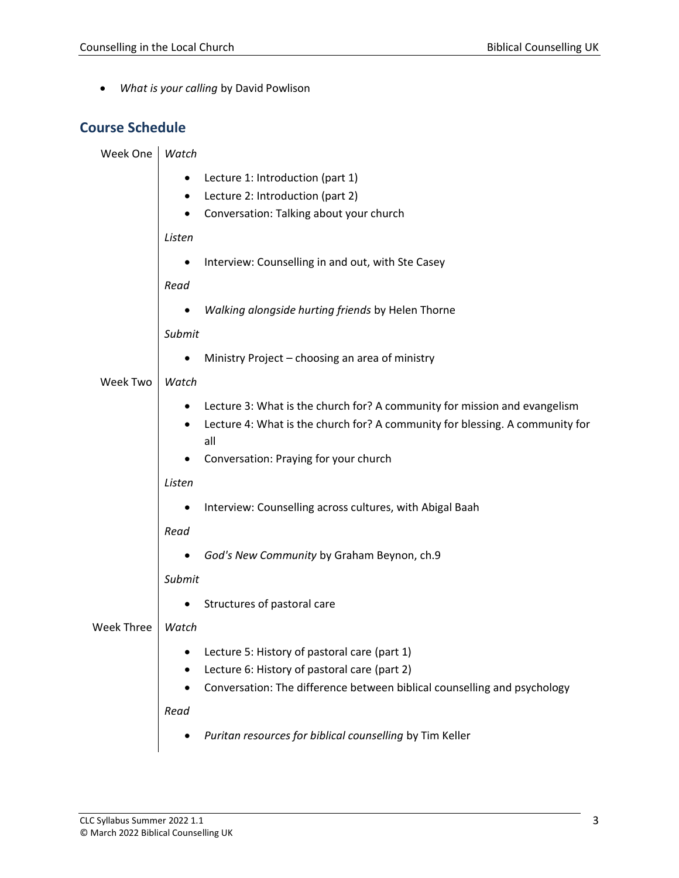• *What is your calling* by David Powlison

### **Course Schedule**

| Week One          | Watch                                                                               |  |  |  |  |
|-------------------|-------------------------------------------------------------------------------------|--|--|--|--|
|                   | Lecture 1: Introduction (part 1)                                                    |  |  |  |  |
|                   | Lecture 2: Introduction (part 2)                                                    |  |  |  |  |
|                   | Conversation: Talking about your church                                             |  |  |  |  |
|                   | Listen                                                                              |  |  |  |  |
|                   | Interview: Counselling in and out, with Ste Casey                                   |  |  |  |  |
|                   | Read                                                                                |  |  |  |  |
|                   | Walking alongside hurting friends by Helen Thorne                                   |  |  |  |  |
|                   | Submit                                                                              |  |  |  |  |
|                   | Ministry Project - choosing an area of ministry                                     |  |  |  |  |
| Week Two          | Watch                                                                               |  |  |  |  |
|                   | Lecture 3: What is the church for? A community for mission and evangelism           |  |  |  |  |
|                   | Lecture 4: What is the church for? A community for blessing. A community for<br>all |  |  |  |  |
|                   | Conversation: Praying for your church                                               |  |  |  |  |
|                   | Listen                                                                              |  |  |  |  |
|                   | Interview: Counselling across cultures, with Abigal Baah                            |  |  |  |  |
|                   | Read                                                                                |  |  |  |  |
|                   | God's New Community by Graham Beynon, ch.9                                          |  |  |  |  |
|                   | Submit                                                                              |  |  |  |  |
|                   | Structures of pastoral care                                                         |  |  |  |  |
| <b>Week Three</b> | Watch                                                                               |  |  |  |  |
|                   | Lecture 5: History of pastoral care (part 1)                                        |  |  |  |  |
|                   | Lecture 6: History of pastoral care (part 2)                                        |  |  |  |  |
|                   | Conversation: The difference between biblical counselling and psychology            |  |  |  |  |
|                   | Read                                                                                |  |  |  |  |
|                   | Puritan resources for biblical counselling by Tim Keller                            |  |  |  |  |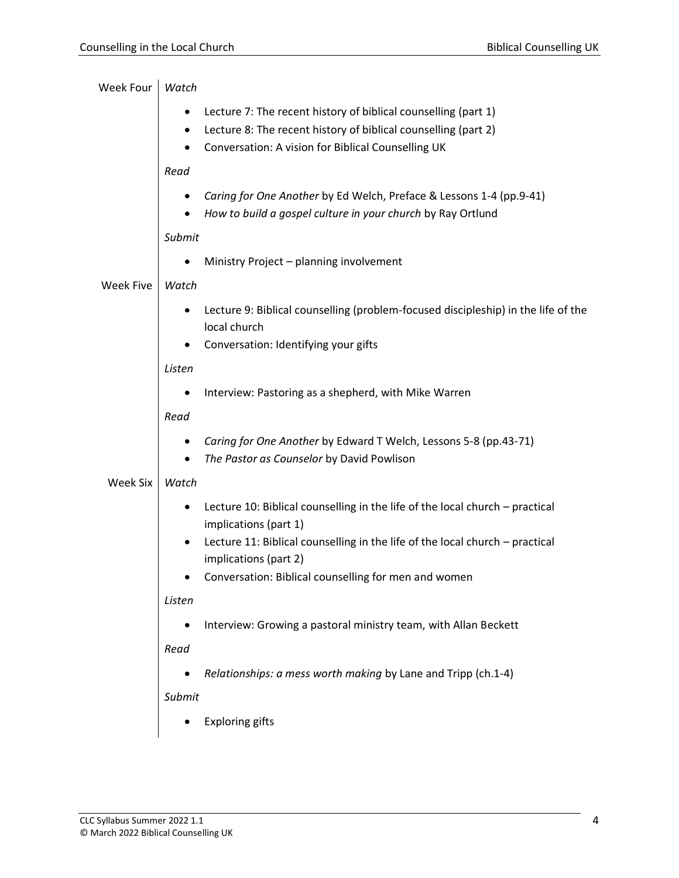| Week Four        | Watch                                                                                                 |
|------------------|-------------------------------------------------------------------------------------------------------|
|                  | Lecture 7: The recent history of biblical counselling (part 1)                                        |
|                  | Lecture 8: The recent history of biblical counselling (part 2)<br>٠                                   |
|                  | Conversation: A vision for Biblical Counselling UK                                                    |
|                  | Read                                                                                                  |
|                  | Caring for One Another by Ed Welch, Preface & Lessons 1-4 (pp.9-41)                                   |
|                  | How to build a gospel culture in your church by Ray Ortlund                                           |
|                  | Submit                                                                                                |
|                  | Ministry Project - planning involvement                                                               |
| <b>Week Five</b> | Watch                                                                                                 |
|                  | Lecture 9: Biblical counselling (problem-focused discipleship) in the life of the<br>local church     |
|                  | Conversation: Identifying your gifts                                                                  |
|                  | Listen                                                                                                |
|                  | Interview: Pastoring as a shepherd, with Mike Warren                                                  |
|                  | Read                                                                                                  |
|                  | Caring for One Another by Edward T Welch, Lessons 5-8 (pp.43-71)                                      |
|                  | The Pastor as Counselor by David Powlison                                                             |
| Week Six         | Watch                                                                                                 |
|                  | Lecture 10: Biblical counselling in the life of the local church - practical<br>implications (part 1) |
|                  | Lecture 11: Biblical counselling in the life of the local church - practical<br>implications (part 2) |
|                  | Conversation: Biblical counselling for men and women                                                  |
|                  | Listen                                                                                                |
|                  | Interview: Growing a pastoral ministry team, with Allan Beckett                                       |
|                  | Read                                                                                                  |
|                  | Relationships: a mess worth making by Lane and Tripp (ch.1-4)                                         |
|                  |                                                                                                       |
|                  | Submit                                                                                                |

• Exploring gifts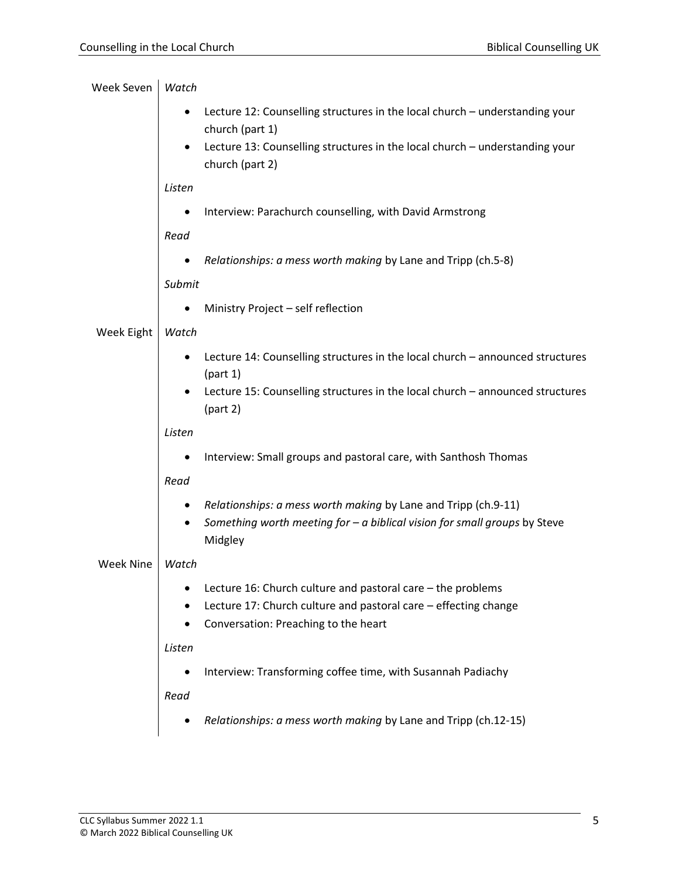| Week Seven       | Watch                                                                                                        |
|------------------|--------------------------------------------------------------------------------------------------------------|
|                  | Lecture 12: Counselling structures in the local church - understanding your<br>$\bullet$<br>church (part 1)  |
|                  | Lecture 13: Counselling structures in the local church - understanding your<br>$\bullet$<br>church (part 2)  |
|                  | Listen                                                                                                       |
|                  | Interview: Parachurch counselling, with David Armstrong<br>٠                                                 |
|                  | Read                                                                                                         |
|                  | Relationships: a mess worth making by Lane and Tripp (ch.5-8)                                                |
|                  | Submit                                                                                                       |
|                  | Ministry Project - self reflection                                                                           |
| Week Eight       | Watch                                                                                                        |
|                  | Lecture 14: Counselling structures in the local church - announced structures<br>(part 1)                    |
|                  | Lecture 15: Counselling structures in the local church - announced structures<br>$\bullet$<br>(part 2)       |
|                  | Listen                                                                                                       |
|                  | Interview: Small groups and pastoral care, with Santhosh Thomas                                              |
|                  | Read                                                                                                         |
|                  | Relationships: a mess worth making by Lane and Tripp (ch.9-11)<br>٠                                          |
|                  | Something worth meeting for $-$ a biblical vision for small groups by Steve<br>٠<br>Midgley                  |
| <b>Week Nine</b> | Watch                                                                                                        |
|                  | Lecture 16: Church culture and pastoral care - the problems                                                  |
|                  | Lecture 17: Church culture and pastoral care - effecting change<br>٠<br>Conversation: Preaching to the heart |
|                  | Listen                                                                                                       |
|                  | Interview: Transforming coffee time, with Susannah Padiachy                                                  |
|                  | Read                                                                                                         |
|                  | Relationships: a mess worth making by Lane and Tripp (ch.12-15)                                              |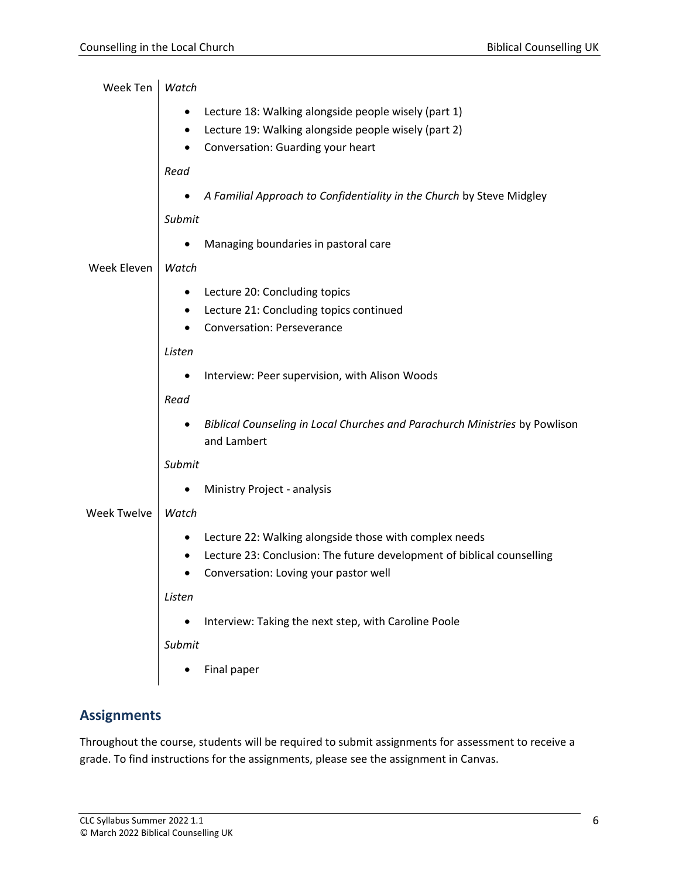| Week Ten           | Watch                                                                                                                                                                     |
|--------------------|---------------------------------------------------------------------------------------------------------------------------------------------------------------------------|
|                    | Lecture 18: Walking alongside people wisely (part 1)                                                                                                                      |
|                    | Lecture 19: Walking alongside people wisely (part 2)<br>٠                                                                                                                 |
|                    | Conversation: Guarding your heart                                                                                                                                         |
|                    | Read                                                                                                                                                                      |
|                    | A Familial Approach to Confidentiality in the Church by Steve Midgley                                                                                                     |
|                    | Submit                                                                                                                                                                    |
|                    | Managing boundaries in pastoral care                                                                                                                                      |
| Week Eleven        | Watch                                                                                                                                                                     |
|                    | Lecture 20: Concluding topics                                                                                                                                             |
|                    | Lecture 21: Concluding topics continued                                                                                                                                   |
|                    | <b>Conversation: Perseverance</b>                                                                                                                                         |
|                    | Listen                                                                                                                                                                    |
|                    | Interview: Peer supervision, with Alison Woods                                                                                                                            |
|                    | Read                                                                                                                                                                      |
|                    | Biblical Counseling in Local Churches and Parachurch Ministries by Powlison<br>and Lambert                                                                                |
|                    | Submit                                                                                                                                                                    |
|                    | Ministry Project - analysis                                                                                                                                               |
| <b>Week Twelve</b> | Watch                                                                                                                                                                     |
|                    | Lecture 22: Walking alongside those with complex needs<br>Lecture 23: Conclusion: The future development of biblical counselling<br>Conversation: Loving your pastor well |
|                    | Listen                                                                                                                                                                    |
|                    | Interview: Taking the next step, with Caroline Poole                                                                                                                      |
|                    | Submit                                                                                                                                                                    |
|                    | Final paper                                                                                                                                                               |

# **Assignments**

Throughout the course, students will be required to submit assignments for assessment to receive a grade. To find instructions for the assignments, please see the assignment in Canvas.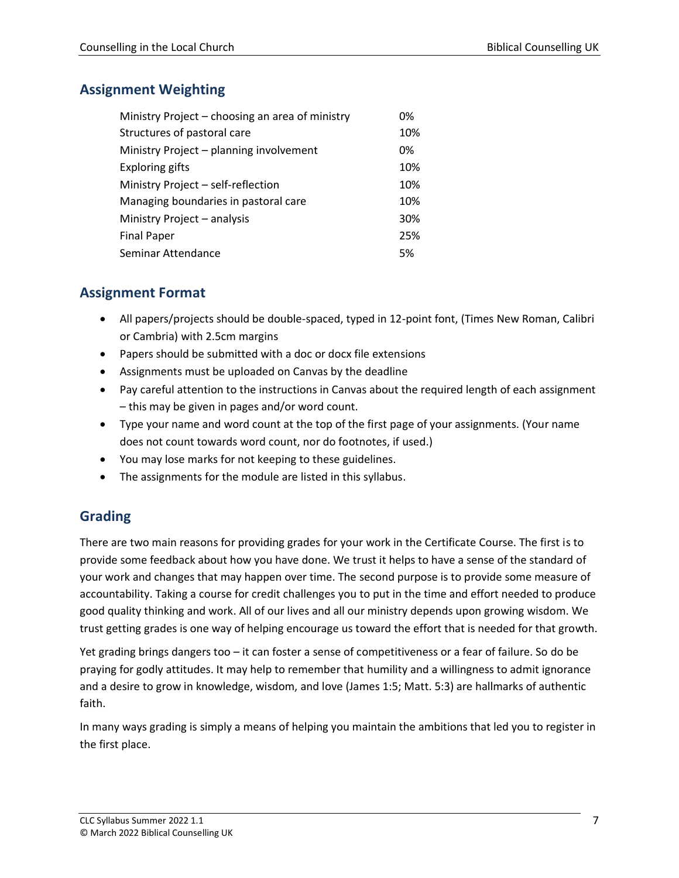## **Assignment Weighting**

| Ministry Project – choosing an area of ministry |     |
|-------------------------------------------------|-----|
| Structures of pastoral care                     | 10% |
| Ministry Project - planning involvement         | 0%  |
| <b>Exploring gifts</b>                          | 10% |
| Ministry Project - self-reflection              | 10% |
| Managing boundaries in pastoral care            | 10% |
| Ministry Project - analysis                     | 30% |
| <b>Final Paper</b>                              | 25% |
| Seminar Attendance                              | 5%  |

#### **Assignment Format**

- All papers/projects should be double-spaced, typed in 12-point font, (Times New Roman, Calibri or Cambria) with 2.5cm margins
- Papers should be submitted with a doc or docx file extensions
- Assignments must be uploaded on Canvas by the deadline
- Pay careful attention to the instructions in Canvas about the required length of each assignment – this may be given in pages and/or word count.
- Type your name and word count at the top of the first page of your assignments. (Your name does not count towards word count, nor do footnotes, if used.)
- You may lose marks for not keeping to these guidelines.
- The assignments for the module are listed in this syllabus.

# **Grading**

There are two main reasons for providing grades for your work in the Certificate Course. The first is to provide some feedback about how you have done. We trust it helps to have a sense of the standard of your work and changes that may happen over time. The second purpose is to provide some measure of accountability. Taking a course for credit challenges you to put in the time and effort needed to produce good quality thinking and work. All of our lives and all our ministry depends upon growing wisdom. We trust getting grades is one way of helping encourage us toward the effort that is needed for that growth.

Yet grading brings dangers too – it can foster a sense of competitiveness or a fear of failure. So do be praying for godly attitudes. It may help to remember that humility and a willingness to admit ignorance and a desire to grow in knowledge, wisdom, and love (James 1:5; Matt. 5:3) are hallmarks of authentic faith.

In many ways grading is simply a means of helping you maintain the ambitions that led you to register in the first place.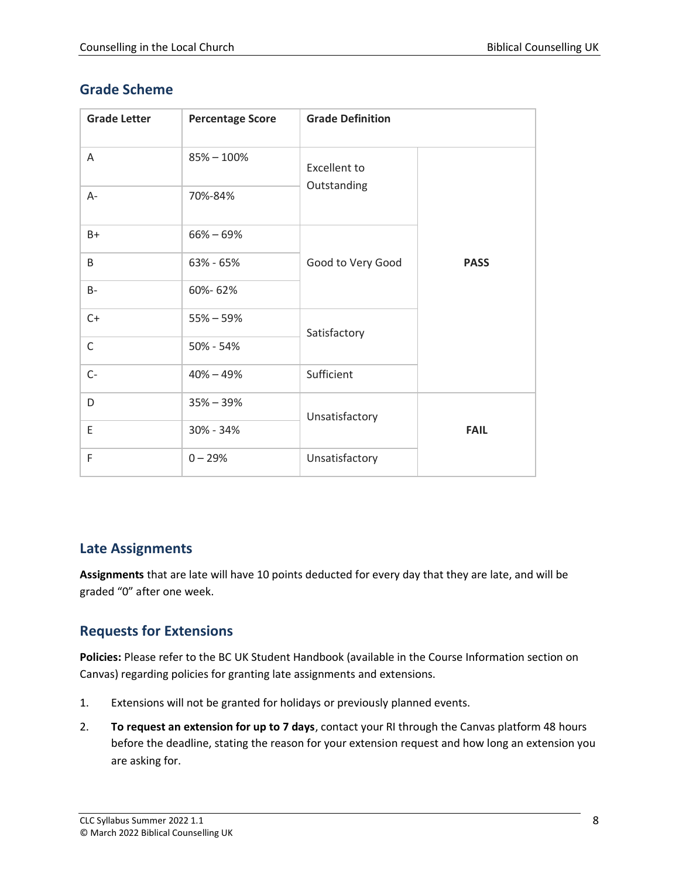# **Grade Scheme**

| <b>Grade Letter</b> | <b>Percentage Score</b> | <b>Grade Definition</b>     |             |
|---------------------|-------------------------|-----------------------------|-------------|
| A                   | $85\% - 100\%$          | Excellent to<br>Outstanding |             |
| $A -$               | 70%-84%                 |                             |             |
| B+                  | $66\% - 69\%$           | Good to Very Good           | <b>PASS</b> |
| B                   | 63% - 65%               |                             |             |
| <b>B-</b>           | 60%-62%                 |                             |             |
| $C+$                | $55\% - 59\%$           | Satisfactory                |             |
| $\mathsf C$         | 50% - 54%               |                             |             |
| $C -$               | $40\% - 49\%$           | Sufficient                  |             |
| D                   | $35\% - 39\%$           | Unsatisfactory              |             |
| E                   | 30% - 34%               |                             | <b>FAIL</b> |
| F                   | $0 - 29%$               | Unsatisfactory              |             |

### **Late Assignments**

**Assignments** that are late will have 10 points deducted for every day that they are late, and will be graded "0" after one week.

# **Requests for Extensions**

**Policies:** Please refer to the BC UK Student Handbook (available in the Course Information section on Canvas) regarding policies for granting late assignments and extensions.

- 1. Extensions will not be granted for holidays or previously planned events.
- 2. **To request an extension for up to 7 days**, contact your RI through the Canvas platform 48 hours before the deadline, stating the reason for your extension request and how long an extension you are asking for.